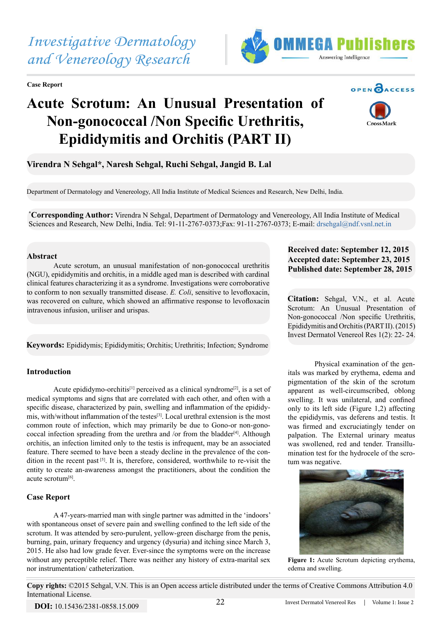**Case Report**



# **Acute Scrotum: An Unusual Presentation of Non-gonococcal /Non Specific Urethritis, Epididymitis and Orchitis (PART II)**



**OPEN CACCESS** 

**Virendra N Sehgal\*, Naresh Sehgal, Ruchi Sehgal, Jangid B. Lal**

Department of Dermatology and Venereology, All India Institute of Medical Sciences and Research, New Delhi, India.

**\* Corresponding Author:** Virendra N Sehgal, Department of Dermatology and Venereology, All India Institute of Medical Sciences and Research, New Delhi, India. Tel: 91-11-2767-0373;Fax: 91-11-2767-0373; E-mail: [drsehgal@ndf.vsnl.net.in](mailto:drsehgal@ndf.vsnl.net.in)

# **Abstract**

Acute scrotum, an unusual manifestation of non-gonococcal urethritis (NGU), epididymitis and orchitis, in a middle aged man is described with cardinal clinical features characterizing it as a syndrome. Investigations were corroborative to conform to non sexually transmitted disease. *E. Coli*, sensitive to levofloxacin, was recovered on culture, which showed an affirmative response to levofloxacin intravenous infusion, uriliser and urispas.

**Keywords:** Epididymis; Epididymitis; Orchitis; Urethritis; Infection; Syndrome

# **Introduction**

Acute epididymo-orchitis<sup>[1]</sup> perceived as a clinical syndrome<sup>[2]</sup>, is a set of medical symptoms and signs that are correlated with each other, and often with a specific disease, characterized by pain, swelling and inflammation of the epididymis, with/without inflammation of the testes[3]. Local urethral extension is the most common route of infection, which may primarily be due to Gono-or non-gonococcal infection spreading from the urethra and /or from the bladder<sup>[4]</sup>. Although orchitis, an infection limited only to the testis is infrequent, may be an associated feature. There seemed to have been a steady decline in the prevalence of the condition in the recent past [5]. It is, therefore, considered, worthwhile to re-visit the entity to create an-awareness amongst the practitioners, about the condition the acute scrotum<sup>[6]</sup>.

## **Case Report**

A 47-years-married man with single partner was admitted in the 'indoors' with spontaneous onset of severe pain and swelling confined to the left side of the scrotum. It was attended by sero-purulent, yellow-green discharge from the penis, burning, pain, urinary frequency and urgency (dysuria) and itching since March 3, 2015. He also had low grade fever. Ever-since the symptoms were on the increase without any perceptible relief. There was neither any history of extra-marital sex nor instrumentation/ catheterization.

# **Received date: September 12, 2015 Accepted date: September 23, 2015 Published date: September 28, 2015**

**Citation:** Sehgal, V.N., et al. Acute Scrotum: An Unusual Presentation of Non-gonococcal /Non specific Urethritis, Epididymitis and Orchitis (PART II). (2015) Invest Dermatol Venereol Res 1(2): 22- 24.

Physical examination of the genitals was marked by erythema, edema and pigmentation of the skin of the scrotum apparent as well-circumscribed, oblong swelling. It was unilateral, and confined only to its left side (Figure 1,2) affecting the epididymis, vas deferens and testis. It was firmed and excruciatingly tender on palpation. The External urinary meatus was swollened, red and tender. Transillumination test for the hydrocele of the scrotum was negative.



**Figure 1:** Acute Scrotum depicting erythema, edema and swelling.

**Copy rights:** ©2015 Sehgal, V.N. This is an Open access article distributed under the terms of Creative Commons Attribution 4.0 International License.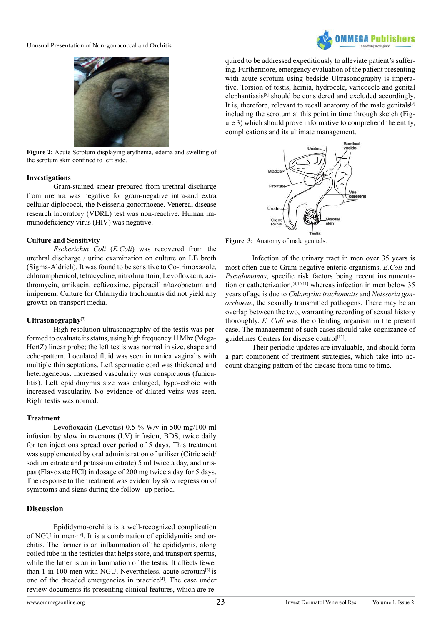



**Figure 2:** Acute Scrotum displaying erythema, edema and swelling of the scrotum skin confined to left side.

#### **Investigations**

Gram-stained smear prepared from urethral discharge from urethra was negative for gram-negative intra-and extra cellular diplococci, the Neisseria gonorrhoeae. Venereal disease research laboratory (VDRL) test was non-reactive. Human immunodeficiency virus (HIV) was negative.

#### **Culture and Sensitivity**

*Escherichia Coli* (*E.Coli*) was recovered from the urethral discharge / urine examination on culture on LB broth (Sigma-Aldrich). It was found to be sensitive to Co-trimoxazole, chloramphenicol, tetracycline, nitrofurantoin, Levofloxacin, azithromycin, amikacin, ceftizoxime, piperacillin/tazobactum and imipenem. Culture for Chlamydia trachomatis did not yield any growth on transport media.

## **Ultrasonography**[7]

High resolution ultrasonography of the testis was performed to evaluate its status, using high frequency 11Mhz (Mega-HertZ) linear probe; the left testis was normal in size, shape and echo-pattern. Loculated fluid was seen in tunica vaginalis with multiple thin septations. Left spermatic cord was thickened and heterogeneous. Increased vascularity was conspicuous (funiculitis). Left epididmymis size was enlarged, hypo-echoic with increased vascularity. No evidence of dilated veins was seen. Right testis was normal.

#### **Treatment**

Levofloxacin (Levotas) 0.5 % W/v in 500 mg/100 ml infusion by slow intravenous (I.V) infusion, BDS, twice daily for ten injections spread over period of 5 days. This treatment was supplemented by oral administration of uriliser (Citric acid/ sodium citrate and potassium citrate) 5 ml twice a day, and urispas (Flavoxate HCl) in dosage of 200 mg twice a day for 5 days. The response to the treatment was evident by slow regression of symptoms and signs during the follow- up period.

# **Discussion**

Epididymo-orchitis is a well-recognized complication of NGU in men $^{[1-3]}$ . It is a combination of epididymitis and orchitis. The former is an inflammation of the epididymis, along coiled tube in the testicles that helps store, and transport sperms, while the latter is an inflammation of the testis. It affects fewer than 1 in 100 men with NGU. Nevertheless, acute scrotum $[6]$  is one of the dreaded emergencies in practice<sup>[4]</sup>. The case under review documents its presenting clinical features, which are required to be addressed expeditiously to alleviate patient's suffering. Furthermore, emergency evaluation of the patient presenting with acute scrotum using bedside Ultrasonography is imperative. Torsion of testis, hernia, hydrocele, varicocele and genital elephantiasis[8] should be considered and excluded accordingly. It is, therefore, relevant to recall anatomy of the male genitals<sup>[9]</sup> including the scrotum at this point in time through sketch (Figure 3) which should prove informative to comprehend the entity, complications and its ultimate management.



**Figure 3:** Anatomy of male genitals.

Infection of the urinary tract in men over 35 years is most often due to Gram-negative enteric organisms, *E.Coli* and *Pseudomonas*, specific risk factors being recent instrumentation or catheterization,[4,10,11] whereas infection in men below 35 years of age is due to *Chlamydia trachomatis* and *Neisseria gonorrhoeae*, the sexually transmitted pathogens. There may be an overlap between the two, warranting recording of sexual history thoroughly. *E. Coli* was the offending organism in the present case. The management of such cases should take cognizance of guidelines Centers for disease control<sup>[12]</sup>.

Their periodic updates are invaluable, and should form a part component of treatment strategies, which take into account changing pattern of the disease from time to time.